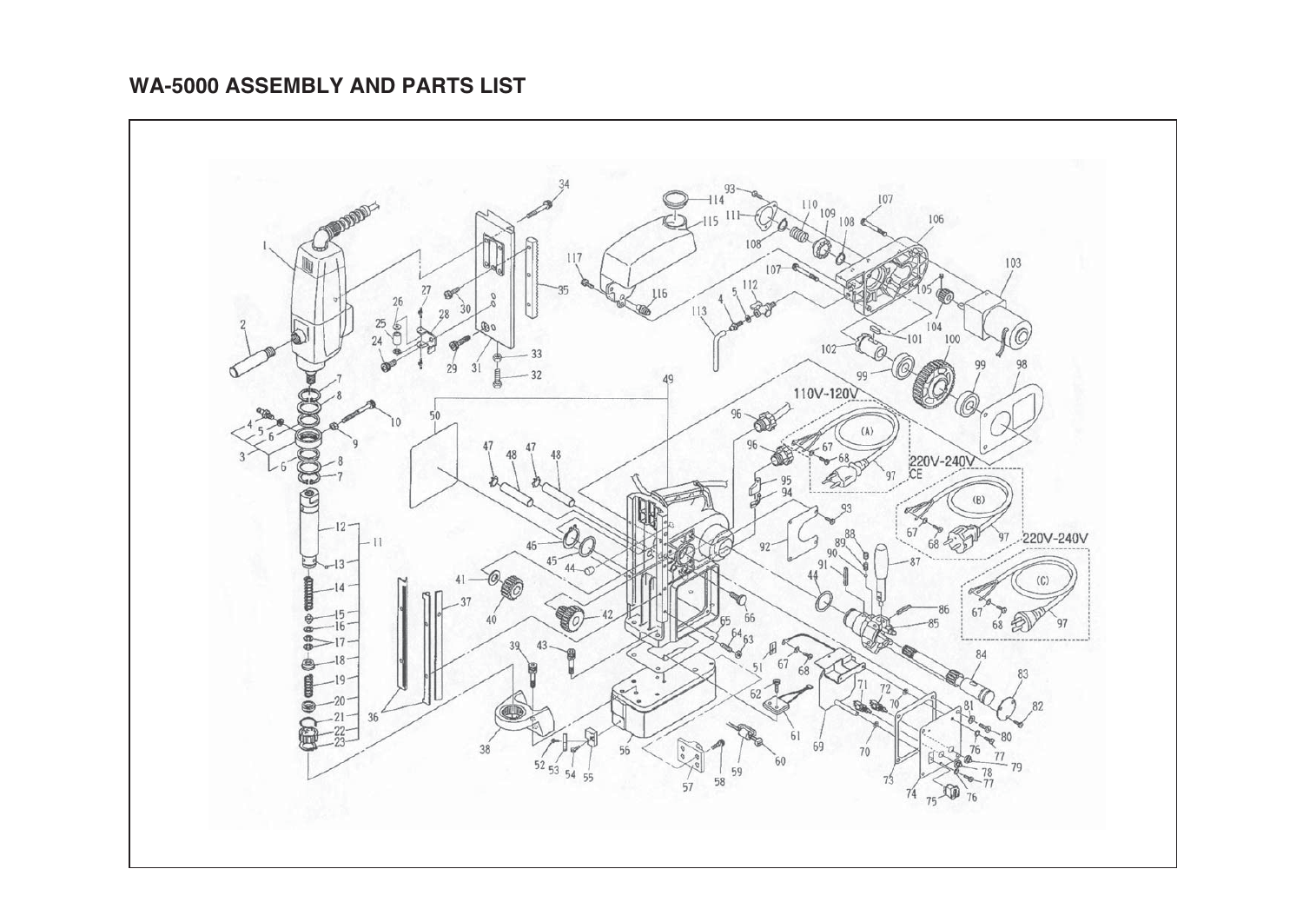## **WA-5000 ASSEMBLY AND PARTS LIST**

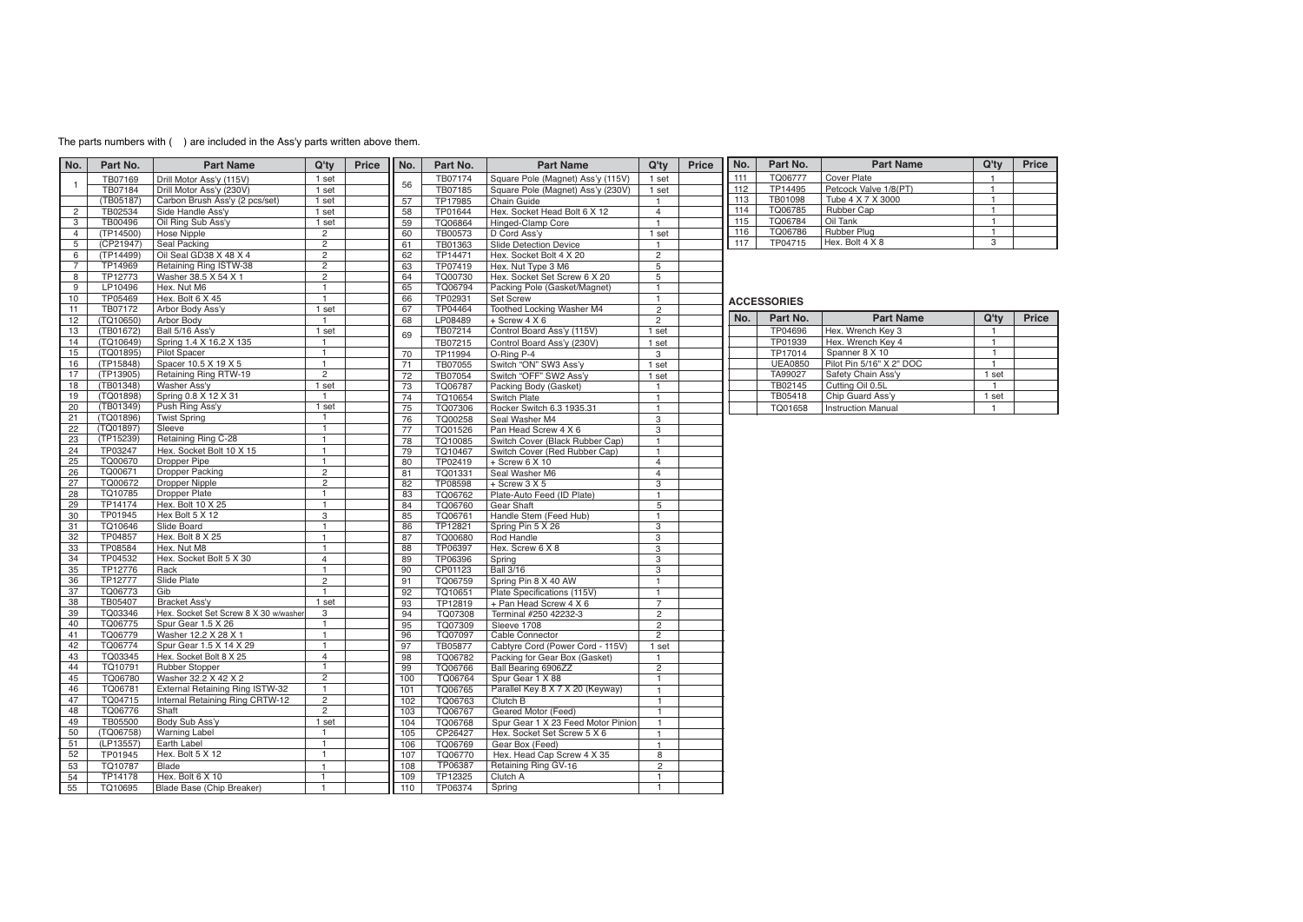## The parts numbers with ( ) are included in the Ass'y parts written above them.

| No.            | Part No.  | <b>Part Name</b>                      | Q'ty           | Price | No. | Part No. | <b>Part Name</b>                   | Q'tv           | Price | No. | Part No.           | <b>Part Name</b>          | Q'ty           | Price |
|----------------|-----------|---------------------------------------|----------------|-------|-----|----------|------------------------------------|----------------|-------|-----|--------------------|---------------------------|----------------|-------|
|                | TB07169   | Drill Motor Ass'y (115V)              | 1 set          |       |     | TB07174  | Square Pole (Magnet) Ass'y (115V)  | 1 set          |       | 111 | TQ06777            | Cover Plate               | $\mathbf{1}$   |       |
| $\overline{1}$ | TB07184   | Drill Motor Ass'y (230V)              | 1 set          |       | 56  | TB07185  | Square Pole (Magnet) Ass'y (230V)  | 1 set          |       | 112 | TP14495            | Petcock Valve 1/8(PT)     | $\overline{1}$ |       |
|                | (TB05187) | Carbon Brush Ass'y (2 pcs/set)        | 1 set          |       | 57  | TP17985  | Chain Guide                        | $\mathbf{1}$   |       | 113 | TB01098            | Tube 4 X 7 X 3000         | $\overline{1}$ |       |
| $\overline{2}$ | TB02534   | Side Handle Ass'v                     | 1 set          |       | 58  | TP01644  | Hex. Socket Head Bolt 6 X 12       | $\overline{4}$ |       | 114 | TQ06785            | Rubber Cap                | $\overline{1}$ |       |
| 3              | TB00496   | Oil Ring Sub Ass'y                    | 1 set          |       | 59  | TQ06864  | Hinged-Clamp Core                  | $\overline{1}$ |       | 115 | TQ06784            | Oil Tank                  | $\overline{1}$ |       |
| $\overline{4}$ | (TP14500) | Hose Nipple                           | $\overline{2}$ |       | 60  | TB00573  | D Cord Ass'y                       | 1 set          |       | 116 | TQ06786            | Rubber Plug               | $\overline{1}$ |       |
| 5              | (CP21947) | Seal Packing                          | $\overline{2}$ |       | 61  | TB01363  | <b>Slide Detection Device</b>      | $\overline{1}$ |       | 117 | TP04715            | Hex. Bolt 4 X 8           | $\overline{3}$ |       |
| 6              | (TP14499) | Oil Seal GD38 X 48 X 4                | $\overline{c}$ |       | 62  | TP14471  | Hex. Socket Bolt 4 X 20            | $\overline{2}$ |       |     |                    |                           |                |       |
| $\overline{7}$ | TP14969   | Retaining Ring ISTW-38                | $\overline{c}$ |       | 63  | TP07419  | Hex. Nut Type 3 M6                 | 5              |       |     |                    |                           |                |       |
| 8              | TP12773   | Washer 38.5 X 54 X 1                  | $\overline{2}$ |       | 64  | TQ00730  | Hex. Socket Set Screw 6 X 20       | 5              |       |     |                    |                           |                |       |
| 9              | LP10496   | Hex. Nut M6                           | $\overline{1}$ |       | 65  | TQ06794  | Packing Pole (Gasket/Magnet)       | $\overline{1}$ |       |     |                    |                           |                |       |
| 10             | TP05469   | Hex. Bolt 6 X 45                      | $\mathbf{1}$   |       | 66  | TP02931  | Set Screw                          | $\overline{1}$ |       |     | <b>ACCESSORIES</b> |                           |                |       |
| 11             | TB07172   | Arbor Body Ass'y                      | 1 set          |       | 67  | TP04464  | Toothed Locking Washer M4          | $\overline{c}$ |       |     |                    |                           |                |       |
| 12             | (TQ10650) | Arbor Body                            | $\mathbf{1}$   |       | 68  | LP08489  | + Screw 4 X 6                      | $\overline{2}$ |       | No. | Part No.           | <b>Part Name</b>          | Q'ty           | Price |
| 13             | (TB01672) | Ball 5/16 Ass'y                       | 1 set          |       |     | TB07214  | Control Board Ass'y (115V)         | 1 set          |       |     | TP04696            | Hex. Wrench Key 3         | $\mathbf{1}$   |       |
| 14             | (TQ10649) | Spring 1.4 X 16.2 X 135               | $\mathbf{1}$   |       | 69  | TB07215  | Control Board Ass'y (230V)         | 1 set          |       |     | TP01939            | Hex. Wrench Key 4         | $\mathbf{1}$   |       |
| 15             | (TQ01895) | Pilot Spacer                          | $\mathbf{1}$   |       | 70  | TP11994  | O-Ring P-4                         | 3              |       |     | TP17014            | Spanner 8 X 10            | $\mathbf{1}$   |       |
| 16             | (TP15848) | Spacer 10.5 X 19 X 5                  | $\mathbf{1}$   |       | 71  | TB07055  | Switch "ON" SW3 Ass'y              | 1 set          |       |     | <b>UEA0850</b>     | Pilot Pin 5/16" X 2" DOC  | $\overline{1}$ |       |
| 17             | (TP13905) | Retaining Ring RTW-19                 | $\overline{c}$ |       | 72  | TB07054  | Switch "OFF" SW2 Ass'y             | 1 set          |       |     | TA99027            | Safety Chain Ass'y        | 1 set          |       |
| 18             | (TB01348) | Washer Ass'v                          | 1 set          |       | 73  | TQ06787  | Packing Body (Gasket)              | $\overline{1}$ |       |     | TB02145            | Cutting Oil 0.5L          | $\mathbf{1}$   |       |
| 19             | (TQ01898) | Spring 0.8 X 12 X 31                  | $\mathbf{1}$   |       | 74  | TQ10654  | Switch Plate                       | $\overline{1}$ |       |     | TB05418            | Chip Guard Ass'y          | 1 set          |       |
| 20             | (TB01349) | Push Ring Ass'y                       | 1 set          |       | 75  | TQ07306  | Rocker Switch 6.3 1935.31          | $\overline{1}$ |       |     | TQ01658            | <b>Instruction Manual</b> | $\overline{1}$ |       |
| 21             | (TQ01896) | <b>Twist Spring</b>                   | $\mathbf{1}$   |       | 76  | TQ00258  | Seal Washer M4                     | 3              |       |     |                    |                           |                |       |
| 22             | (TQ01897) | Sleeve                                | $\mathbf{1}$   |       | 77  | TQ01526  | Pan Head Screw 4 X 6               | 3              |       |     |                    |                           |                |       |
| 23             | (TP15239) | Retaining Ring C-28                   | $\mathbf{1}$   |       | 78  | TQ10085  | Switch Cover (Black Rubber Cap)    | $\overline{1}$ |       |     |                    |                           |                |       |
| 24             | TP03247   | Hex. Socket Bolt 10 X 15              | $\mathbf{1}$   |       | 79  | TQ10467  | Switch Cover (Red Rubber Cap)      | $\mathbf{1}$   |       |     |                    |                           |                |       |
| 25             | TQ00670   | Dropper Pipe                          | $\mathbf{1}$   |       | 80  | TP02419  | $+$ Screw 6 X 10                   | $\overline{4}$ |       |     |                    |                           |                |       |
| 26             | TQ00671   | <b>Dropper Packing</b>                | $\overline{2}$ |       | 81  | TQ01331  | Seal Washer M6                     | $\overline{4}$ |       |     |                    |                           |                |       |
| 27             | TQ00672   | <b>Dropper Nipple</b>                 | $\overline{2}$ |       | 82  | TP08598  | $+$ Screw 3 X 5                    | 3              |       |     |                    |                           |                |       |
| 28             | TQ10785   | Dropper Plate                         | $\mathbf{1}$   |       | 83  | TQ06762  | Plate-Auto Feed (ID Plate)         | $\mathbf{1}$   |       |     |                    |                           |                |       |
| 29             | TP14174   | Hex. Bolt 10 X 25                     | $\mathbf{1}$   |       | 84  | TQ06760  | Gear Shaft                         | 5              |       |     |                    |                           |                |       |
| 30             | TP01945   | Hex Bolt 5 X 12                       | 3              |       | 85  | TQ06761  | Handle Stem (Feed Hub)             | $\overline{1}$ |       |     |                    |                           |                |       |
| 31             | TQ10646   | Slide Board                           | $\mathbf{1}$   |       | 86  | TP12821  | Spring Pin 5 X 26                  | $\overline{3}$ |       |     |                    |                           |                |       |
| 32             | TP04857   | Hex. Bolt 8 X 25                      | $\mathbf{1}$   |       | 87  | TQ00680  | Rod Handle                         | 3              |       |     |                    |                           |                |       |
| 33             | TP08584   | Hex. Nut M8                           | $\overline{1}$ |       | 88  | TP06397  | Hex. Screw 6 X 8                   | 3              |       |     |                    |                           |                |       |
| 34             | TP04532   | Hex. Socket Bolt 5 X 30               | $\overline{4}$ |       | 89  | TP06396  | Spring                             | 3              |       |     |                    |                           |                |       |
| 35             | TP12776   | Rack                                  | $\mathbf{1}$   |       | 90  | CP01123  | <b>Ball 3/16</b>                   | 3              |       |     |                    |                           |                |       |
| 36             | TP12777   | Slide Plate                           | $\overline{2}$ |       | 91  | TQ06759  | Spring Pin 8 X 40 AW               | $\overline{1}$ |       |     |                    |                           |                |       |
| 37             | TQ06773   | Gib                                   | $\mathbf{1}$   |       | 92  | TQ10651  | Plate Specifications (115V)        | $\mathbf{1}$   |       |     |                    |                           |                |       |
| 38             | TB05407   | Bracket Ass'y                         | 1 set          |       | 93  | TP12819  | + Pan Head Screw 4 X 6             | $\overline{7}$ |       |     |                    |                           |                |       |
| 39             | TQ03346   | Hex. Socket Set Screw 8 X 30 w/washer | 3              |       | 94  | TQ07308  | Terminal #250 42232-3              | $\overline{2}$ |       |     |                    |                           |                |       |
| 40             | TQ06775   | Spur Gear 1.5 X 26                    | $\overline{1}$ |       | 95  | TQ07309  | Sleeve 1708                        | $\overline{2}$ |       |     |                    |                           |                |       |
| 41             | TQ06779   | Washer 12.2 X 28 X 1                  | $\mathbf{1}$   |       | 96  | TQ07097  | Cable Connector                    | 2              |       |     |                    |                           |                |       |
| 42             | TQ06774   | Spur Gear 1.5 X 14 X 29               | $\mathbf{1}$   |       | 97  | TB05877  | Cabtyre Cord (Power Cord - 115V)   | 1 set          |       |     |                    |                           |                |       |
| 43             | TQ03345   | Hex. Socket Bolt 8 X 25               | 4              |       | 98  | TQ06782  | Packing for Gear Box (Gasket)      | $\overline{1}$ |       |     |                    |                           |                |       |
| 44             | TQ10791   | Rubber Stopper                        | $\overline{1}$ |       | 99  | TQ06766  | Ball Bearing 6906ZZ                | $\overline{2}$ |       |     |                    |                           |                |       |
| 45             | TQ06780   | Washer 32.2 X 42 X 2                  | $\overline{2}$ |       | 100 | TQ06764  | Spur Gear 1 X 88                   | $\mathbf{1}$   |       |     |                    |                           |                |       |
| 46             | TQ06781   | External Retaining Ring ISTW-32       | $\overline{1}$ |       | 101 | TQ06765  | Parallel Key 8 X 7 X 20 (Keyway)   | $\mathbf{1}$   |       |     |                    |                           |                |       |
| 47             | TQ04715   | Internal Retaining Ring CRTW-12       | $\overline{2}$ |       | 102 | TQ06763  | Clutch B                           | $\overline{1}$ |       |     |                    |                           |                |       |
| 48             | TQ06776   | Shaft                                 | $\overline{2}$ |       | 103 | TQ06767  | Geared Motor (Feed)                | $\mathbf{1}$   |       |     |                    |                           |                |       |
| 49             | TB05500   | Body Sub Ass'y                        | 1 set          |       | 104 | TQ06768  | Spur Gear 1 X 23 Feed Motor Pinion | $\mathbf{1}$   |       |     |                    |                           |                |       |
| 50             | (TQ06758) | Warning Label                         | $\mathbf{1}$   |       | 105 | CP26427  | Hex. Socket Set Screw 5 X 6        | $\mathbf{1}$   |       |     |                    |                           |                |       |
| 51             | (LP13557) | Earth Label                           | $\mathbf{1}$   |       | 106 | TQ06769  | Gear Box (Feed)                    | 1              |       |     |                    |                           |                |       |
| 52             | TP01945   | Hex. Bolt 5 X 12                      | $\mathbf{1}$   |       | 107 | TQ06770  | Hex. Head Cap Screw 4 X 35         | 8              |       |     |                    |                           |                |       |
| 53             | TQ10787   | Blade                                 | $\overline{1}$ |       | 108 | TP06387  | Retaining Ring GV-16               | $\overline{c}$ |       |     |                    |                           |                |       |
| 54             | TP14178   | Hex. Bolt 6 X 10                      | $\mathbf{1}$   |       | 109 | TP12325  | Clutch A                           | $\mathbf{1}$   |       |     |                    |                           |                |       |
| 55             | TQ10695   | Blade Base (Chip Breaker)             | $\mathbf{1}$   |       | 110 | TP06374  | Spring                             | 1              |       |     |                    |                           |                |       |
|                |           |                                       |                |       |     |          |                                    |                |       |     |                    |                           |                |       |